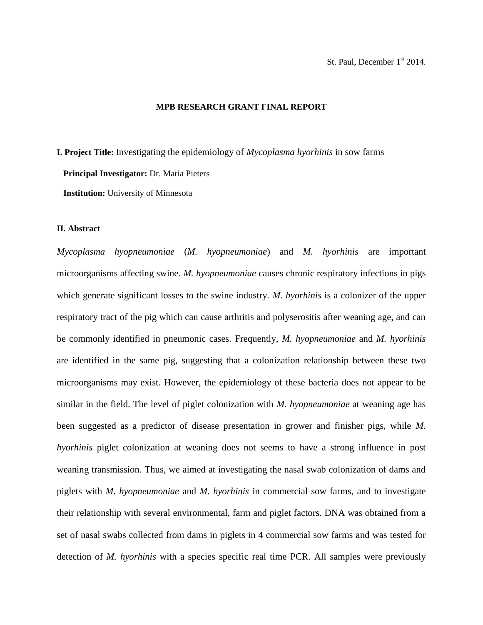### **MPB RESEARCH GRANT FINAL REPORT**

**I. Project Title:** Investigating the epidemiology of *Mycoplasma hyorhinis* in sow farms  **Principal Investigator:** Dr. Maria Pieters  **Institution:** University of Minnesota

### **II. Abstract**

*Mycoplasma hyopneumoniae* (*M. hyopneumoniae*) and *M. hyorhinis* are important microorganisms affecting swine. *M. hyopneumoniae* causes chronic respiratory infections in pigs which generate significant losses to the swine industry. *M. hyorhinis* is a colonizer of the upper respiratory tract of the pig which can cause arthritis and polyserositis after weaning age, and can be commonly identified in pneumonic cases. Frequently, *M. hyopneumoniae* and *M. hyorhinis* are identified in the same pig, suggesting that a colonization relationship between these two microorganisms may exist. However, the epidemiology of these bacteria does not appear to be similar in the field. The level of piglet colonization with *M. hyopneumoniae* at weaning age has been suggested as a predictor of disease presentation in grower and finisher pigs, while *M. hyorhinis* piglet colonization at weaning does not seems to have a strong influence in post weaning transmission. Thus, we aimed at investigating the nasal swab colonization of dams and piglets with *M. hyopneumoniae* and *M. hyorhinis* in commercial sow farms, and to investigate their relationship with several environmental, farm and piglet factors. DNA was obtained from a set of nasal swabs collected from dams in piglets in 4 commercial sow farms and was tested for detection of *M. hyorhinis* with a species specific real time PCR. All samples were previously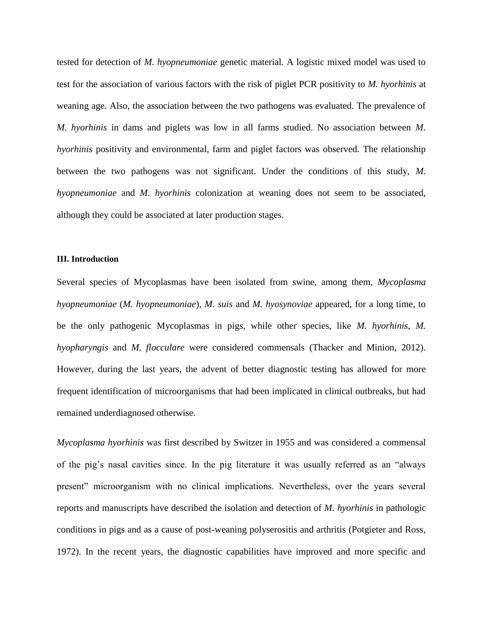tested for detection of *M. hyopneumoniae* genetic material. A logistic mixed model was used to test for the association of various factors with the risk of piglet PCR positivity to *M. hyorhinis* at weaning age. Also, the association between the two pathogens was evaluated. The prevalence of *M. hyorhinis* in dams and piglets was low in all farms studied. No association between *M. hyorhinis* positivity and environmental, farm and piglet factors was observed. The relationship between the two pathogens was not significant. Under the conditions of this study, *M. hyopneumoniae* and *M. hyorhinis* colonization at weaning does not seem to be associated, although they could be associated at later production stages.

### **III. Introduction**

Several species of Mycoplasmas have been isolated from swine, among them, *Mycoplasma hyopneumoniae* (*M. hyopneumoniae*), *M. suis* and *M. hyosynoviae* appeared, for a long time, to be the only pathogenic Mycoplasmas in pigs, while other species, like *M. hyorhinis*, *M. hyopharyngis* and *M. flocculare* were considered commensals (Thacker and Minion, 2012). However, during the last years, the advent of better diagnostic testing has allowed for more frequent identification of microorganisms that had been implicated in clinical outbreaks, but had remained underdiagnosed otherwise.

*Mycoplasma hyorhinis* was first described by Switzer in 1955 and was considered a commensal of the pig's nasal cavities since. In the pig literature it was usually referred as an "always present" microorganism with no clinical implications. Nevertheless, over the years several reports and manuscripts have described the isolation and detection of *M. hyorhinis* in pathologic conditions in pigs and as a cause of post-weaning polyserositis and arthritis (Potgieter and Ross, 1972). In the recent years, the diagnostic capabilities have improved and more specific and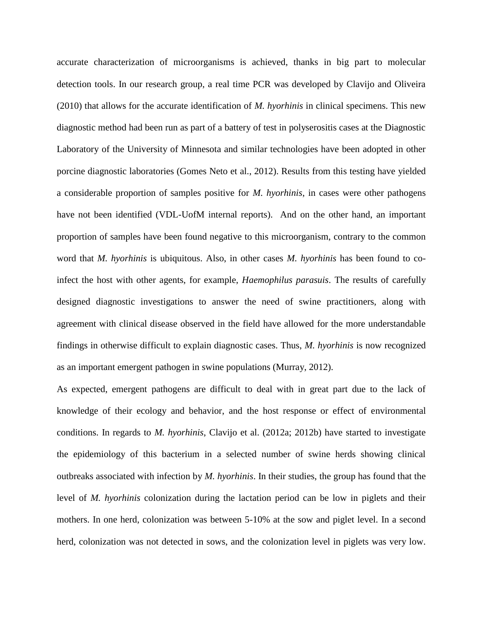accurate characterization of microorganisms is achieved, thanks in big part to molecular detection tools. In our research group, a real time PCR was developed by Clavijo and Oliveira (2010) that allows for the accurate identification of *M. hyorhinis* in clinical specimens. This new diagnostic method had been run as part of a battery of test in polyserositis cases at the Diagnostic Laboratory of the University of Minnesota and similar technologies have been adopted in other porcine diagnostic laboratories (Gomes Neto et al., 2012). Results from this testing have yielded a considerable proportion of samples positive for *M. hyorhinis*, in cases were other pathogens have not been identified (VDL-UofM internal reports). And on the other hand, an important proportion of samples have been found negative to this microorganism, contrary to the common word that *M. hyorhinis* is ubiquitous. Also, in other cases *M. hyorhinis* has been found to coinfect the host with other agents, for example, *Haemophilus parasuis*. The results of carefully designed diagnostic investigations to answer the need of swine practitioners, along with agreement with clinical disease observed in the field have allowed for the more understandable findings in otherwise difficult to explain diagnostic cases. Thus, *M. hyorhinis* is now recognized as an important emergent pathogen in swine populations (Murray, 2012).

As expected, emergent pathogens are difficult to deal with in great part due to the lack of knowledge of their ecology and behavior, and the host response or effect of environmental conditions. In regards to *M. hyorhinis*, Clavijo et al. (2012a; 2012b) have started to investigate the epidemiology of this bacterium in a selected number of swine herds showing clinical outbreaks associated with infection by *M. hyorhinis*. In their studies, the group has found that the level of *M. hyorhinis* colonization during the lactation period can be low in piglets and their mothers. In one herd, colonization was between 5-10% at the sow and piglet level. In a second herd, colonization was not detected in sows, and the colonization level in piglets was very low.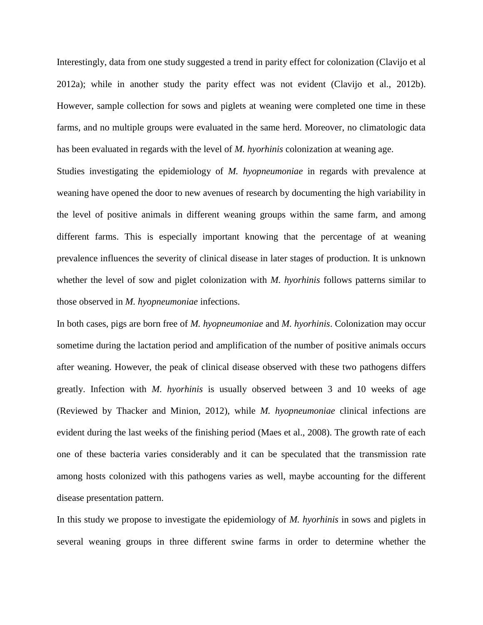Interestingly, data from one study suggested a trend in parity effect for colonization (Clavijo et al 2012a); while in another study the parity effect was not evident (Clavijo et al., 2012b). However, sample collection for sows and piglets at weaning were completed one time in these farms, and no multiple groups were evaluated in the same herd. Moreover, no climatologic data has been evaluated in regards with the level of *M. hyorhinis* colonization at weaning age.

Studies investigating the epidemiology of *M. hyopneumoniae* in regards with prevalence at weaning have opened the door to new avenues of research by documenting the high variability in the level of positive animals in different weaning groups within the same farm, and among different farms. This is especially important knowing that the percentage of at weaning prevalence influences the severity of clinical disease in later stages of production. It is unknown whether the level of sow and piglet colonization with *M. hyorhinis* follows patterns similar to those observed in *M. hyopneumoniae* infections.

In both cases, pigs are born free of *M. hyopneumoniae* and *M. hyorhinis*. Colonization may occur sometime during the lactation period and amplification of the number of positive animals occurs after weaning. However, the peak of clinical disease observed with these two pathogens differs greatly. Infection with *M. hyorhinis* is usually observed between 3 and 10 weeks of age (Reviewed by Thacker and Minion, 2012), while *M. hyopneumoniae* clinical infections are evident during the last weeks of the finishing period (Maes et al., 2008). The growth rate of each one of these bacteria varies considerably and it can be speculated that the transmission rate among hosts colonized with this pathogens varies as well, maybe accounting for the different disease presentation pattern.

In this study we propose to investigate the epidemiology of *M. hyorhinis* in sows and piglets in several weaning groups in three different swine farms in order to determine whether the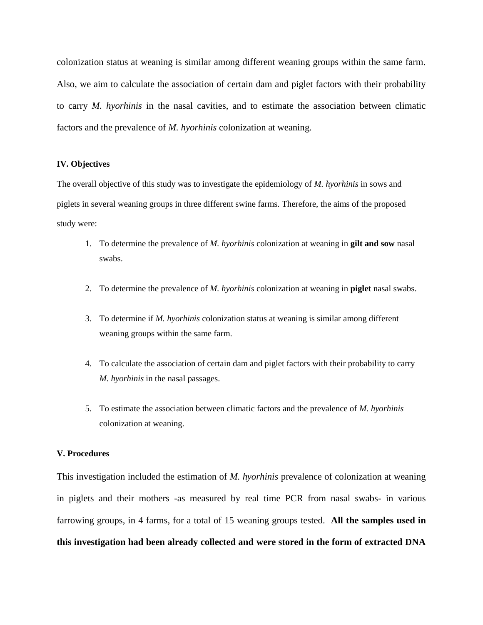colonization status at weaning is similar among different weaning groups within the same farm. Also, we aim to calculate the association of certain dam and piglet factors with their probability to carry *M. hyorhinis* in the nasal cavities, and to estimate the association between climatic factors and the prevalence of *M. hyorhinis* colonization at weaning.

### **IV. Objectives**

The overall objective of this study was to investigate the epidemiology of *M. hyorhinis* in sows and piglets in several weaning groups in three different swine farms. Therefore, the aims of the proposed study were:

- 1. To determine the prevalence of *M. hyorhinis* colonization at weaning in **gilt and sow** nasal swabs.
- 2. To determine the prevalence of *M. hyorhinis* colonization at weaning in **piglet** nasal swabs.
- 3. To determine if *M. hyorhinis* colonization status at weaning is similar among different weaning groups within the same farm.
- 4. To calculate the association of certain dam and piglet factors with their probability to carry *M. hyorhinis* in the nasal passages.
- 5. To estimate the association between climatic factors and the prevalence of *M. hyorhinis* colonization at weaning.

# **V. Procedures**

This investigation included the estimation of *M. hyorhinis* prevalence of colonization at weaning in piglets and their mothers -as measured by real time PCR from nasal swabs- in various farrowing groups, in 4 farms, for a total of 15 weaning groups tested. **All the samples used in this investigation had been already collected and were stored in the form of extracted DNA**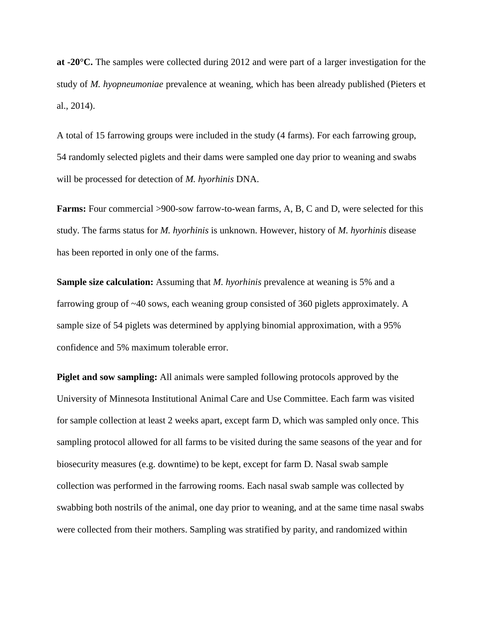**at -20°C.** The samples were collected during 2012 and were part of a larger investigation for the study of *M. hyopneumoniae* prevalence at weaning, which has been already published (Pieters et al., 2014).

A total of 15 farrowing groups were included in the study (4 farms). For each farrowing group, 54 randomly selected piglets and their dams were sampled one day prior to weaning and swabs will be processed for detection of *M. hyorhinis* DNA.

**Farms:** Four commercial >900-sow farrow-to-wean farms, A, B, C and D, were selected for this study. The farms status for *M. hyorhinis* is unknown. However, history of *M. hyorhinis* disease has been reported in only one of the farms.

**Sample size calculation:** Assuming that *M. hyorhinis* prevalence at weaning is 5% and a farrowing group of ~40 sows, each weaning group consisted of 360 piglets approximately. A sample size of 54 piglets was determined by applying binomial approximation, with a 95% confidence and 5% maximum tolerable error.

**Piglet and sow sampling:** All animals were sampled following protocols approved by the University of Minnesota Institutional Animal Care and Use Committee. Each farm was visited for sample collection at least 2 weeks apart, except farm D, which was sampled only once. This sampling protocol allowed for all farms to be visited during the same seasons of the year and for biosecurity measures (e.g. downtime) to be kept, except for farm D. Nasal swab sample collection was performed in the farrowing rooms. Each nasal swab sample was collected by swabbing both nostrils of the animal, one day prior to weaning, and at the same time nasal swabs were collected from their mothers. Sampling was stratified by parity, and randomized within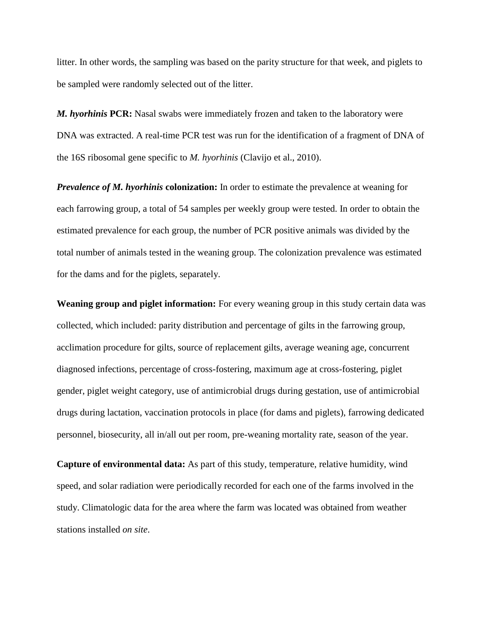litter. In other words, the sampling was based on the parity structure for that week, and piglets to be sampled were randomly selected out of the litter.

*M. hyorhinis* **PCR:** Nasal swabs were immediately frozen and taken to the laboratory were DNA was extracted. A real-time PCR test was run for the identification of a fragment of DNA of the 16S ribosomal gene specific to *M. hyorhinis* (Clavijo et al., 2010).

*Prevalence of M. hyorhinis* **colonization:** In order to estimate the prevalence at weaning for each farrowing group, a total of 54 samples per weekly group were tested. In order to obtain the estimated prevalence for each group, the number of PCR positive animals was divided by the total number of animals tested in the weaning group. The colonization prevalence was estimated for the dams and for the piglets, separately.

**Weaning group and piglet information:** For every weaning group in this study certain data was collected, which included: parity distribution and percentage of gilts in the farrowing group, acclimation procedure for gilts, source of replacement gilts, average weaning age, concurrent diagnosed infections, percentage of cross-fostering, maximum age at cross-fostering, piglet gender, piglet weight category, use of antimicrobial drugs during gestation, use of antimicrobial drugs during lactation, vaccination protocols in place (for dams and piglets), farrowing dedicated personnel, biosecurity, all in/all out per room, pre-weaning mortality rate, season of the year.

**Capture of environmental data:** As part of this study, temperature, relative humidity, wind speed, and solar radiation were periodically recorded for each one of the farms involved in the study. Climatologic data for the area where the farm was located was obtained from weather stations installed *on site*.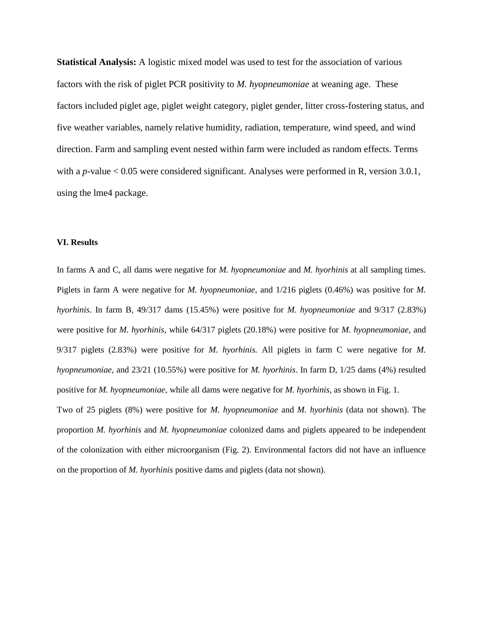**Statistical Analysis:** A logistic mixed model was used to test for the association of various factors with the risk of piglet PCR positivity to *M. hyopneumoniae* at weaning age. These factors included piglet age, piglet weight category, piglet gender, litter cross-fostering status, and five weather variables, namely relative humidity, radiation, temperature, wind speed, and wind direction. Farm and sampling event nested within farm were included as random effects. Terms with a *p*-value < 0.05 were considered significant. Analyses were performed in R, version 3.0.1, using the lme4 package.

### **VI. Results**

In farms A and C, all dams were negative for *M. hyopneumoniae* and *M. hyorhinis* at all sampling times. Piglets in farm A were negative for *M. hyopneumoniae,* and 1/216 piglets (0.46%) was positive for *M. hyorhinis*. In farm B, 49/317 dams (15.45%) were positive for *M. hyopneumoniae* and 9/317 (2.83%) were positive for *M. hyorhinis,* while 64/317 piglets (20.18%) were positive for *M. hyopneumoniae,* and 9/317 piglets (2.83%) were positive for *M. hyorhinis.* All piglets in farm C were negative for *M. hyopneumoniae,* and 23/21 (10.55%) were positive for *M. hyorhinis*. In farm D, 1/25 dams (4%) resulted positive for *M. hyopneumoniae,* while all dams were negative for *M. hyorhinis,* as shown in Fig. 1.

Two of 25 piglets (8%) were positive for *M. hyopneumoniae* and *M. hyorhinis* (data not shown). The proportion *M. hyorhinis* and *M. hyopneumoniae* colonized dams and piglets appeared to be independent of the colonization with either microorganism (Fig. 2). Environmental factors did not have an influence on the proportion of *M. hyorhinis* positive dams and piglets (data not shown).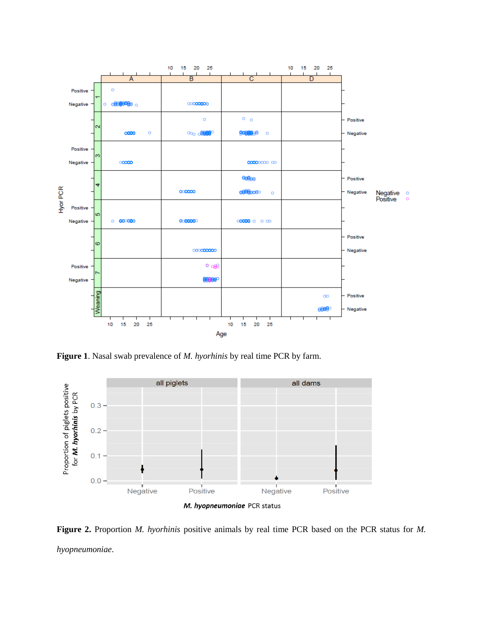

**Figure 1**. Nasal swab prevalence of *M. hyorhinis* by real time PCR by farm.



**Figure 2.** Proportion *M. hyorhinis* positive animals by real time PCR based on the PCR status for *M. hyopneumoniae*.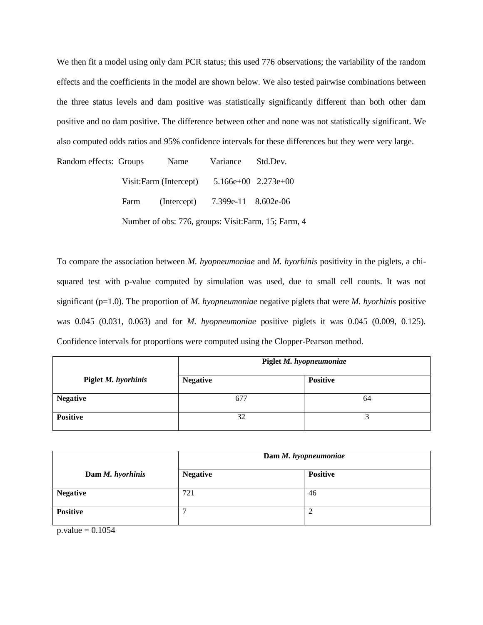We then fit a model using only dam PCR status; this used 776 observations; the variability of the random effects and the coefficients in the model are shown below. We also tested pairwise combinations between the three status levels and dam positive was statistically significantly different than both other dam positive and no dam positive. The difference between other and none was not statistically significant. We also computed odds ratios and 95% confidence intervals for these differences but they were very large.

Random effects: Groups Name Variance Std.Dev. Visit:Farm (Intercept) 5.166e+00 2.273e+00 Farm (Intercept) 7.399e-11 8.602e-06 Number of obs: 776, groups: Visit:Farm, 15; Farm, 4

To compare the association between *M. hyopneumoniae* and *M. hyorhinis* positivity in the piglets, a chisquared test with p-value computed by simulation was used, due to small cell counts. It was not significant (p=1.0). The proportion of *M. hyopneumoniae* negative piglets that were *M. hyorhinis* positive was 0.045 (0.031, 0.063) and for *M. hyopneumoniae* positive piglets it was 0.045 (0.009, 0.125). Confidence intervals for proportions were computed using the Clopper-Pearson method.

|                     | Piglet M. hyopneumoniae |                 |
|---------------------|-------------------------|-----------------|
| Piglet M. hyorhinis | <b>Negative</b>         | <b>Positive</b> |
| <b>Negative</b>     | 677                     | 64              |
| <b>Positive</b>     | 32                      |                 |

|                  | Dam M. hyopneumoniae |                 |
|------------------|----------------------|-----------------|
| Dam M. hyorhinis | <b>Negative</b>      | <b>Positive</b> |
| <b>Negative</b>  | 721                  | 46              |
| <b>Positive</b>  | −                    |                 |

 $p.value = 0.1054$